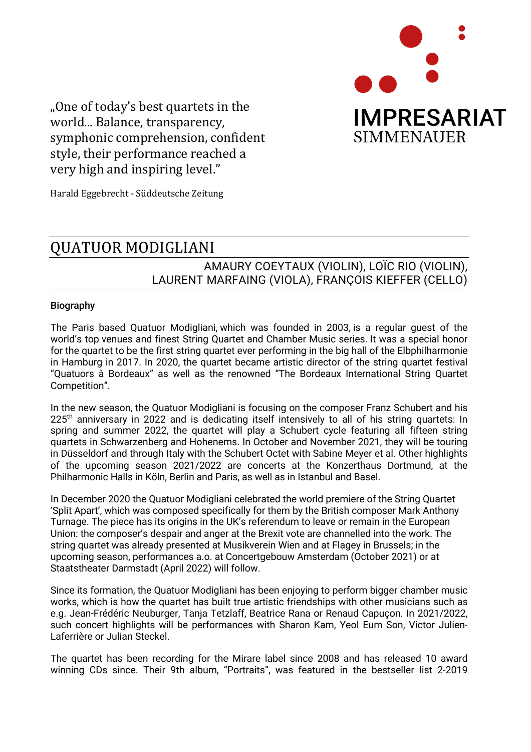

"One of today's best quartets in the world... Balance, transparency, symphonic comprehension, confident style, their performance reached a very high and inspiring level."

Harald Eggebrecht - Süddeutsche Zeitung

## QUATUOR MODIGLIANI

## AMAURY COEYTAUX (VIOLIN), LOÏC RIO (VIOLIN), LAURENT MARFAING (VIOLA), FRANÇOIS KIEFFER (CELLO)

## Biography

The Paris based Quatuor Modigliani, which was founded in 2003, is a regular guest of the world's top venues and finest String Quartet and Chamber Music series. It was a special honor for the quartet to be the first string quartet ever performing in the big hall of the Elbphilharmonie in Hamburg in 2017. In 2020, the quartet became artistic director of the string quartet festival "Quatuors à Bordeaux" as well as the renowned "The Bordeaux International String Quartet Competition".

In the new season, the Quatuor Modigliani is focusing on the composer Franz Schubert and his  $225<sup>th</sup>$  anniversary in 2022 and is dedicating itself intensively to all of his string quartets: In spring and summer 2022, the quartet will play a Schubert cycle featuring all fifteen string quartets in Schwarzenberg and Hohenems. In October and November 2021, they will be touring in Düsseldorf and through Italy with the Schubert Octet with Sabine Meyer et al. Other highlights of the upcoming season 2021/2022 are concerts at the Konzerthaus Dortmund, at the Philharmonic Halls in Köln, Berlin and Paris, as well as in Istanbul and Basel.

In December 2020 the Quatuor Modigliani celebrated the world premiere of the String Quartet 'Split Apart', which was composed specifically for them by the British composer Mark Anthony Turnage. The piece has its origins in the UK's referendum to leave or remain in the European Union: the composer's despair and anger at the Brexit vote are channelled into the work. The string quartet was already presented at Musikverein Wien and at Flagey in Brussels; in the upcoming season, performances a.o. at Concertgebouw Amsterdam (October 2021) or at Staatstheater Darmstadt (April 2022) will follow.

Since its formation, the Quatuor Modigliani has been enjoying to perform bigger chamber music works, which is how the quartet has built true artistic friendships with other musicians such as e.g. Jean-Frédéric Neuburger, Tanja Tetzlaff, Beatrice Rana or Renaud Capuçon. In 2021/2022, such concert highlights will be performances with Sharon Kam, Yeol Eum Son, Victor Julien-Laferrière or Julian Steckel.

The quartet has been recording for the Mirare label since 2008 and has released 10 award winning CDs since. Their 9th album, "Portraits", was featured in the bestseller list 2-2019